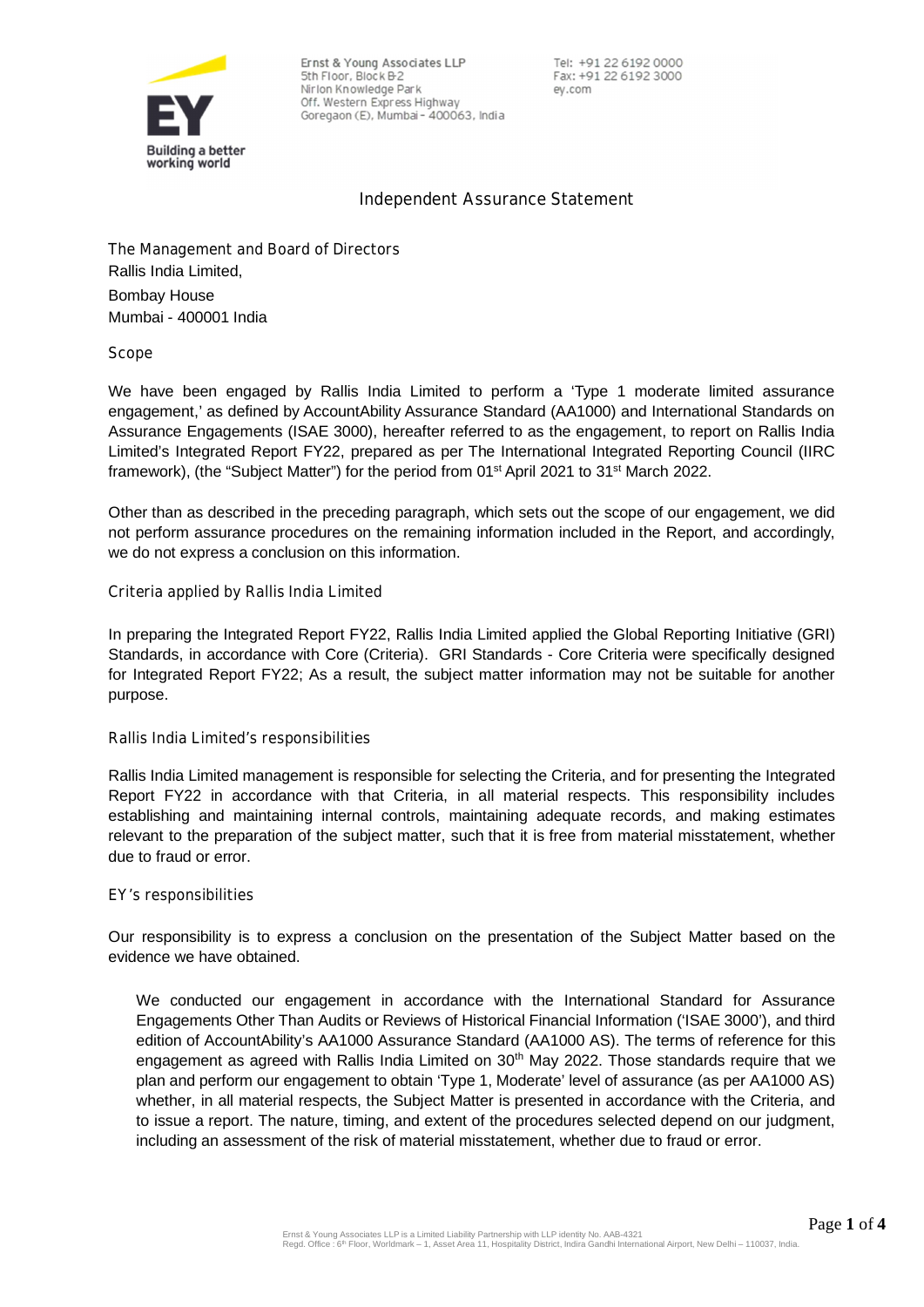

Ernst & Young Associates LLP 5th Floor, Block B-2 Nirlon Knowledge Park Off, Western Express Highway Goregaon (E), Mumbai - 400063, India

Tel: +91 22 6192 0000 Fax: +91 22 6192 3000 ev.com

# **Independent Assurance Statement**

**The Management and Board of Directors** Rallis India Limited, Bombay House Mumbai - 400001 India

**Scope**

We have been engaged by Rallis India Limited to perform a 'Type 1 moderate limited assurance engagement,' as defined by AccountAbility Assurance Standard (AA1000) and International Standards on Assurance Engagements (ISAE 3000), hereafter referred to as the engagement, to report on Rallis India Limited's Integrated Report FY22, prepared as per The International Integrated Reporting Council (IIRC framework), (the "Subject Matter") for the period from 01<sup>st</sup> April 2021 to 31<sup>st</sup> March 2022.

Other than as described in the preceding paragraph, which sets out the scope of our engagement, we did not perform assurance procedures on the remaining information included in the Report, and accordingly, we do not express a conclusion on this information.

## **Criteria applied by Rallis India Limited**

In preparing the Integrated Report FY22, Rallis India Limited applied the Global Reporting Initiative (GRI) Standards, in accordance with Core (Criteria). GRI Standards - Core Criteria were specifically designed for Integrated Report FY22; As a result, the subject matter information may not be suitable for another purpose.

## **Rallis India Limited's responsibilities**

Rallis India Limited management is responsible for selecting the Criteria, and for presenting the Integrated Report FY22 in accordance with that Criteria, in all material respects. This responsibility includes establishing and maintaining internal controls, maintaining adequate records, and making estimates relevant to the preparation of the subject matter, such that it is free from material misstatement, whether due to fraud or error.

## **EY's responsibilities**

Our responsibility is to express a conclusion on the presentation of the Subject Matter based on the evidence we have obtained.

We conducted our engagement in accordance with the International Standard for Assurance Engagements Other Than Audits or Reviews of Historical Financial Information ('ISAE 3000'), and third edition of AccountAbility's AA1000 Assurance Standard (AA1000 AS). The terms of reference for this engagement as agreed with Rallis India Limited on 30<sup>th</sup> May 2022. Those standards require that we plan and perform our engagement to obtain 'Type 1, Moderate' level of assurance (as per AA1000 AS) whether, in all material respects, the Subject Matter is presented in accordance with the Criteria, and to issue a report. The nature, timing, and extent of the procedures selected depend on our judgment, including an assessment of the risk of material misstatement, whether due to fraud or error.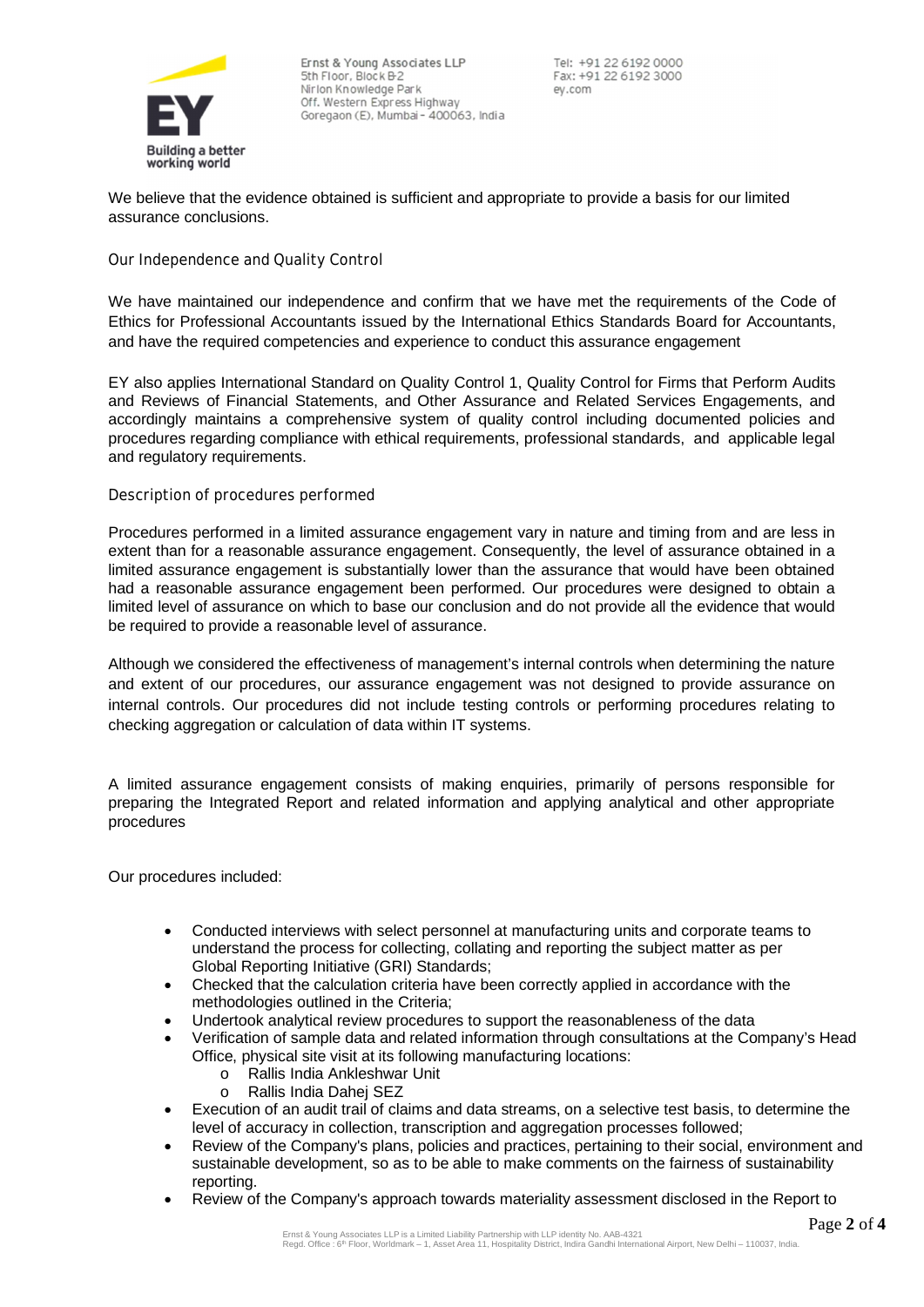

Ernst & Young Associates LLP 5th Floor, Block B-2 Nirlon Knowledge Park Off, Western Express Highway Goregaon (E), Mumbai - 400063, India

Tel: +91 22 6192 0000 Fax: +91 22 6192 3000 ev.com

We believe that the evidence obtained is sufficient and appropriate to provide a basis for our limited assurance conclusions.

## **Our Independence and Quality Control**

We have maintained our independence and confirm that we have met the requirements of the Code of Ethics for Professional Accountants issued by the International Ethics Standards Board for Accountants, and have the required competencies and experience to conduct this assurance engagement

EY also applies International Standard on Quality Control 1, Quality Control for Firms that Perform Audits and Reviews of Financial Statements, and Other Assurance and Related Services Engagements, and accordingly maintains a comprehensive system of quality control including documented policies and procedures regarding compliance with ethical requirements, professional standards, and applicable legal and regulatory requirements.

#### **Description of procedures performed**

Procedures performed in a limited assurance engagement vary in nature and timing from and are less in extent than for a reasonable assurance engagement. Consequently, the level of assurance obtained in a limited assurance engagement is substantially lower than the assurance that would have been obtained had a reasonable assurance engagement been performed. Our procedures were designed to obtain a limited level of assurance on which to base our conclusion and do not provide all the evidence that would be required to provide a reasonable level of assurance.

Although we considered the effectiveness of management's internal controls when determining the nature and extent of our procedures, our assurance engagement was not designed to provide assurance on internal controls. Our procedures did not include testing controls or performing procedures relating to checking aggregation or calculation of data within IT systems.

A limited assurance engagement consists of making enquiries, primarily of persons responsible for preparing the Integrated Report and related information and applying analytical and other appropriate procedures

Our procedures included:

- Conducted interviews with select personnel at manufacturing units and corporate teams to understand the process for collecting, collating and reporting the subject matter as per Global Reporting Initiative (GRI) Standards;
- Checked that the calculation criteria have been correctly applied in accordance with the methodologies outlined in the Criteria;
- Undertook analytical review procedures to support the reasonableness of the data
- Verification of sample data and related information through consultations at the Company's Head Office, physical site visit at its following manufacturing locations:
	- o Rallis India Ankleshwar Unit
	- o Rallis India Dahej SEZ
- Execution of an audit trail of claims and data streams, on a selective test basis, to determine the level of accuracy in collection, transcription and aggregation processes followed;
- Review of the Company's plans, policies and practices, pertaining to their social, environment and sustainable development, so as to be able to make comments on the fairness of sustainability reporting.
- Review of the Company's approach towards materiality assessment disclosed in the Report to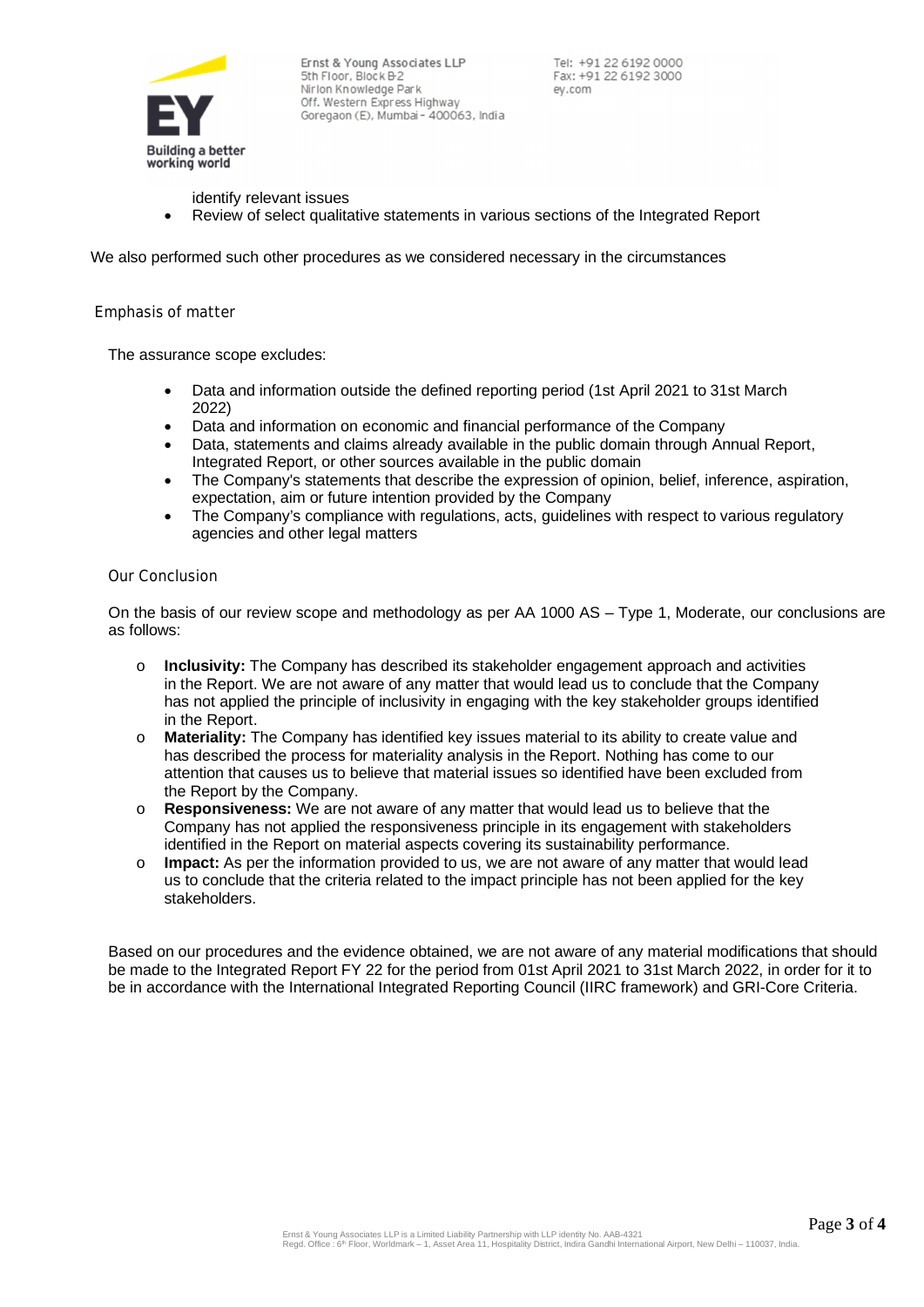

Ernst & Young Associates LLP 5th Floor, Block B-2 Nirlon Knowledge Park Off. Western Express Highway Goregaon (E), Mumbai - 400063, India

Tel: +91 22 6192 0000 Fax: +91 22 6192 3000 ev.com

identify relevant issues

Review of select qualitative statements in various sections of the Integrated Report

We also performed such other procedures as we considered necessary in the circumstances

#### **Emphasis of matter**

The assurance scope excludes:

- Data and information outside the defined reporting period (1st April 2021 to 31st March 2022)
- Data and information on economic and financial performance of the Company
- Data, statements and claims already available in the public domain through Annual Report, Integrated Report, or other sources available in the public domain
- The Company's statements that describe the expression of opinion, belief, inference, aspiration, expectation, aim or future intention provided by the Company
- The Company's compliance with regulations, acts, guidelines with respect to various regulatory agencies and other legal matters

#### **Our Conclusion**

On the basis of our review scope and methodology as per AA 1000 AS – Type 1, Moderate, our conclusions are as follows:

- o **Inclusivity:** The Company has described its stakeholder engagement approach and activities in the Report. We are not aware of any matter that would lead us to conclude that the Company has not applied the principle of inclusivity in engaging with the key stakeholder groups identified in the Report.
- o **Materiality:** The Company has identified key issues material to its ability to create value and has described the process for materiality analysis in the Report. Nothing has come to our attention that causes us to believe that material issues so identified have been excluded from the Report by the Company.
- o **Responsiveness:** We are not aware of any matter that would lead us to believe that the Company has not applied the responsiveness principle in its engagement with stakeholders identified in the Report on material aspects covering its sustainability performance.
- o **Impact:** As per the information provided to us, we are not aware of any matter that would lead us to conclude that the criteria related to the impact principle has not been applied for the key stakeholders.

Based on our procedures and the evidence obtained, we are not aware of any material modifications that should be made to the Integrated Report FY 22 for the period from 01st April 2021 to 31st March 2022, in order for it to be in accordance with the International Integrated Reporting Council (IIRC framework) and GRI-Core Criteria.